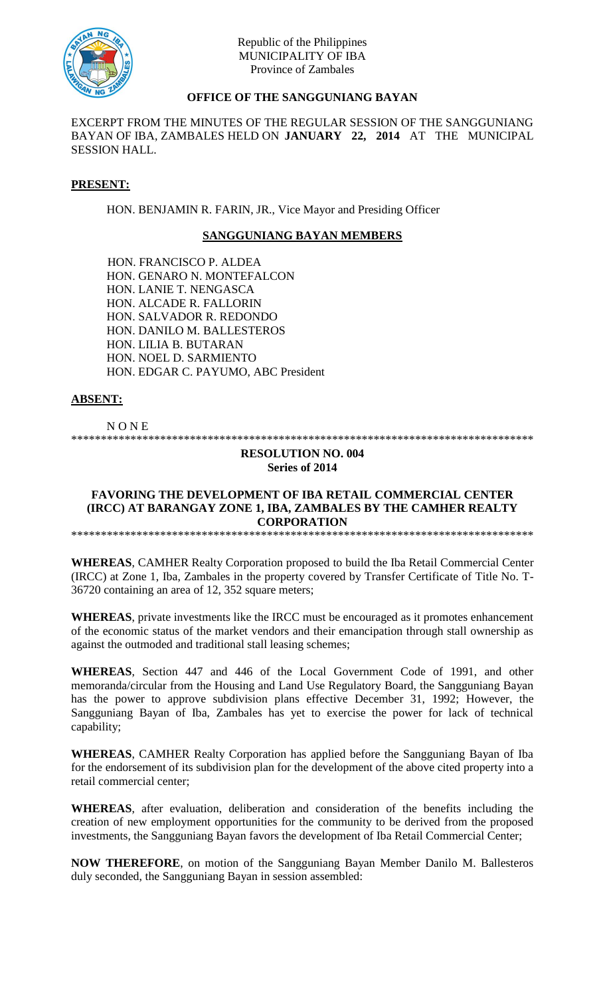

## Republic of the Philippines MUNICIPALITY OF IBA Province of Zambales

# **OFFICE OF THE SANGGUNIANG BAYAN**

EXCERPT FROM THE MINUTES OF THE REGULAR SESSION OF THE SANGGUNIANG BAYAN OF IBA, ZAMBALES HELD ON **JANUARY 22, 2014** AT THE MUNICIPAL SESSION HALL.

### **PRESENT:**

HON. BENJAMIN R. FARIN, JR., Vice Mayor and Presiding Officer

### **SANGGUNIANG BAYAN MEMBERS**

HON. FRANCISCO P. ALDEA HON. GENARO N. MONTEFALCON HON. LANIE T. NENGASCA HON. ALCADE R. FALLORIN HON. SALVADOR R. REDONDO HON. DANILO M. BALLESTEROS HON. LILIA B. BUTARAN HON. NOEL D. SARMIENTO HON. EDGAR C. PAYUMO, ABC President

### **ABSENT:**

N O N E

\*\*\*\*\*\*\*\*\*\*\*\*\*\*\*\*\*\*\*\*\*\*\*\*\*\*\*\*\*\*\*\*\*\*\*\*\*\*\*\*\*\*\*\*\*\*\*\*\*\*\*\*\*\*\*\*\*\*\*\*\*\*\*\*\*\*\*\*\*\*\*\*\*\*\*\*\*\*

#### **RESOLUTION NO. 004 Series of 2014**

### **FAVORING THE DEVELOPMENT OF IBA RETAIL COMMERCIAL CENTER (IRCC) AT BARANGAY ZONE 1, IBA, ZAMBALES BY THE CAMHER REALTY CORPORATION**

\*\*\*\*\*\*\*\*\*\*\*\*\*\*\*\*\*\*\*\*\*\*\*\*\*\*\*\*\*\*\*\*\*\*\*\*\*\*\*\*\*\*\*\*\*\*\*\*\*\*\*\*\*\*\*\*\*\*\*\*\*\*\*\*\*\*\*\*\*\*\*\*\*\*\*\*\*\*

**WHEREAS**, CAMHER Realty Corporation proposed to build the Iba Retail Commercial Center (IRCC) at Zone 1, Iba, Zambales in the property covered by Transfer Certificate of Title No. T-36720 containing an area of 12, 352 square meters;

**WHEREAS**, private investments like the IRCC must be encouraged as it promotes enhancement of the economic status of the market vendors and their emancipation through stall ownership as against the outmoded and traditional stall leasing schemes;

**WHEREAS**, Section 447 and 446 of the Local Government Code of 1991, and other memoranda/circular from the Housing and Land Use Regulatory Board, the Sangguniang Bayan has the power to approve subdivision plans effective December 31, 1992; However, the Sangguniang Bayan of Iba, Zambales has yet to exercise the power for lack of technical capability;

**WHEREAS**, CAMHER Realty Corporation has applied before the Sangguniang Bayan of Iba for the endorsement of its subdivision plan for the development of the above cited property into a retail commercial center;

**WHEREAS**, after evaluation, deliberation and consideration of the benefits including the creation of new employment opportunities for the community to be derived from the proposed investments, the Sangguniang Bayan favors the development of Iba Retail Commercial Center;

**NOW THEREFORE**, on motion of the Sangguniang Bayan Member Danilo M. Ballesteros duly seconded, the Sangguniang Bayan in session assembled: